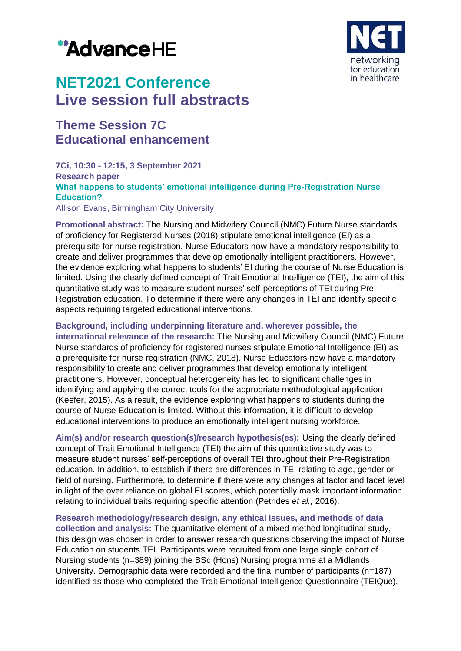# "AdvanceHE



## **NET2021 Conference Live session full abstracts**

### **Theme Session 7C Educational enhancement**

#### **7Ci, 10:30 - 12:15, 3 September 2021 Research paper What happens to students' emotional intelligence during Pre-Registration Nurse Education?** Allison Evans, Birmingham City University

**Promotional abstract:** The Nursing and Midwifery Council (NMC) Future Nurse standards of proficiency for Registered Nurses (2018) stipulate emotional intelligence (EI) as a prerequisite for nurse registration. Nurse Educators now have a mandatory responsibility to create and deliver programmes that develop emotionally intelligent practitioners. However, the evidence exploring what happens to students' EI during the course of Nurse Education is limited. Using the clearly defined concept of Trait Emotional Intelligence (TEI), the aim of this quantitative study was to measure student nurses' self-perceptions of TEI during Pre-Registration education. To determine if there were any changes in TEI and identify specific aspects requiring targeted educational interventions.

**Background, including underpinning literature and, wherever possible, the international relevance of the research:** The Nursing and Midwifery Council (NMC) Future Nurse standards of proficiency for registered nurses stipulate Emotional Intelligence (EI) as a prerequisite for nurse registration (NMC, 2018). Nurse Educators now have a mandatory responsibility to create and deliver programmes that develop emotionally intelligent practitioners. However, conceptual heterogeneity has led to significant challenges in identifying and applying the correct tools for the appropriate methodological application (Keefer, 2015). As a result, the evidence exploring what happens to students during the course of Nurse Education is limited. Without this information, it is difficult to develop educational interventions to produce an emotionally intelligent nursing workforce.

**Aim(s) and/or research question(s)/research hypothesis(es):** Using the clearly defined concept of Trait Emotional Intelligence (TEI) the aim of this quantitative study was to measure student nurses' self-perceptions of overall TEI throughout their Pre-Registration education. In addition, to establish if there are differences in TEI relating to age, gender or field of nursing. Furthermore, to determine if there were any changes at factor and facet level in light of the over reliance on global EI scores, which potentially mask important information relating to individual traits requiring specific attention (Petrides *et al.,* 2016).

**Research methodology/research design, any ethical issues, and methods of data collection and analysis:** The quantitative element of a mixed-method longitudinal study, this design was chosen in order to answer research questions observing the impact of Nurse Education on students TEI. Participants were recruited from one large single cohort of Nursing students (n=389) joining the BSc (Hons) Nursing programme at a Midlands University. Demographic data were recorded and the final number of participants (n=187) identified as those who completed the Trait Emotional Intelligence Questionnaire (TEIQue),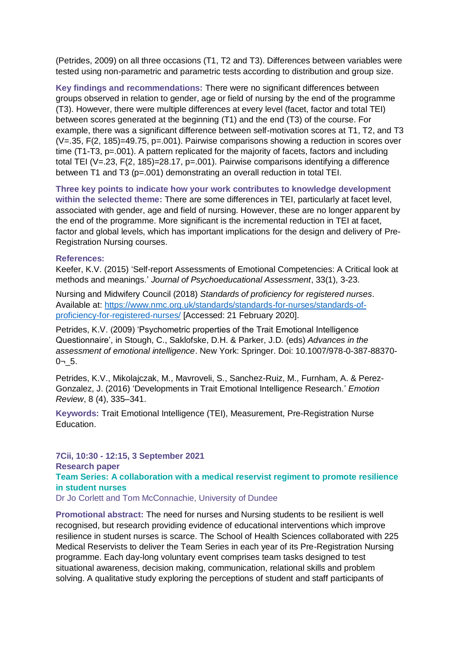(Petrides, 2009) on all three occasions (T1, T2 and T3). Differences between variables were tested using non-parametric and parametric tests according to distribution and group size.

**Key findings and recommendations:** There were no significant differences between groups observed in relation to gender, age or field of nursing by the end of the programme (T3). However, there were multiple differences at every level (facet, factor and total TEI) between scores generated at the beginning (T1) and the end (T3) of the course. For example, there was a significant difference between self-motivation scores at T1, T2, and T3 (V=.35, F(2, 185)=49.75, p=.001). Pairwise comparisons showing a reduction in scores over time (T1-T3, p=.001). A pattern replicated for the majority of facets, factors and including total TEI (V=.23, F(2, 185)=28.17, p=.001). Pairwise comparisons identifying a difference between T1 and T3 (p=.001) demonstrating an overall reduction in total TEI.

**Three key points to indicate how your work contributes to knowledge development within the selected theme:** There are some differences in TEI, particularly at facet level, associated with gender, age and field of nursing. However, these are no longer apparent by the end of the programme. More significant is the incremental reduction in TEI at facet, factor and global levels, which has important implications for the design and delivery of Pre-Registration Nursing courses.

#### **References:**

Keefer, K.V. (2015) 'Self-report Assessments of Emotional Competencies: A Critical look at methods and meanings.' *Journal of Psychoeducational Assessment*, 33(1), 3-23.

Nursing and Midwifery Council (2018) *Standards of proficiency for registered nurses*. Available at: [https://www.nmc.org.uk/standards/standards-for-nurses/standards-of](https://www.nmc.org.uk/standards/standards-for-nurses/standards-of-proficiency-for-registered-nurses/)[proficiency-for-registered-nurses/](https://www.nmc.org.uk/standards/standards-for-nurses/standards-of-proficiency-for-registered-nurses/) [Accessed: 21 February 2020].

Petrides, K.V. (2009) 'Psychometric properties of the Trait Emotional Intelligence Questionnaire', in Stough, C., Saklofske, D.H. & Parker, J.D. (eds) *Advances in the assessment of emotional intelligence*. New York: Springer. Doi: 10.1007/978-0-387-88370-  $0 - 5.$ 

Petrides, K.V., Mikolajczak, M., Mavroveli, S., Sanchez-Ruiz, M., Furnham, A. & Perez-Gonzalez, J. (2016) 'Developments in Trait Emotional Intelligence Research.' *Emotion Review*, 8 (4), 335–341.

**Keywords:** Trait Emotional Intelligence (TEI), Measurement, Pre-Registration Nurse Education.

#### **7Cii, 10:30 - 12:15, 3 September 2021 Research paper Team Series: A collaboration with a medical reservist regiment to promote resilience in student nurses**

Dr Jo Corlett and Tom McConnachie, University of Dundee

**Promotional abstract:** The need for nurses and Nursing students to be resilient is well recognised, but research providing evidence of educational interventions which improve resilience in student nurses is scarce. The School of Health Sciences collaborated with 225 Medical Reservists to deliver the Team Series in each year of its Pre-Registration Nursing programme. Each day-long voluntary event comprises team tasks designed to test situational awareness, decision making, communication, relational skills and problem solving. A qualitative study exploring the perceptions of student and staff participants of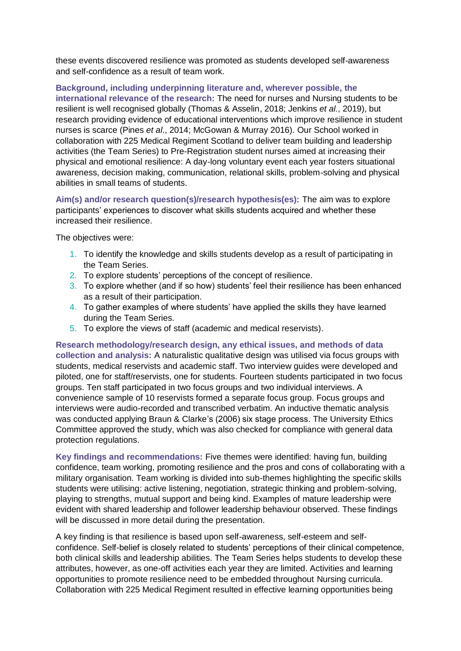these events discovered resilience was promoted as students developed self-awareness and self-confidence as a result of team work.

**Background, including underpinning literature and, wherever possible, the international relevance of the research:** The need for nurses and Nursing students to be resilient is well recognised globally (Thomas & Asselin, 2018; Jenkins *et al.*, 2019), but research providing evidence of educational interventions which improve resilience in student nurses is scarce (Pines *et al*., 2014; McGowan & Murray 2016). Our School worked in collaboration with 225 Medical Regiment Scotland to deliver team building and leadership activities (the Team Series) to Pre-Registration student nurses aimed at increasing their physical and emotional resilience: A day-long voluntary event each year fosters situational awareness, decision making, communication, relational skills, problem-solving and physical abilities in small teams of students.

**Aim(s) and/or research question(s)/research hypothesis(es):** The aim was to explore participants' experiences to discover what skills students acquired and whether these increased their resilience.

The objectives were:

- 1. To identify the knowledge and skills students develop as a result of participating in the Team Series.
- 2. To explore students' perceptions of the concept of resilience.
- 3. To explore whether (and if so how) students' feel their resilience has been enhanced as a result of their participation.
- 4. To gather examples of where students' have applied the skills they have learned during the Team Series.
- 5. To explore the views of staff (academic and medical reservists).

**Research methodology/research design, any ethical issues, and methods of data collection and analysis:** A naturalistic qualitative design was utilised via focus groups with students, medical reservists and academic staff. Two interview guides were developed and piloted, one for staff/reservists, one for students. Fourteen students participated in two focus groups. Ten staff participated in two focus groups and two individual interviews. A convenience sample of 10 reservists formed a separate focus group. Focus groups and interviews were audio-recorded and transcribed verbatim. An inductive thematic analysis was conducted applying Braun & Clarke's (2006) six stage process. The University Ethics Committee approved the study, which was also checked for compliance with general data protection regulations.

**Key findings and recommendations:** Five themes were identified: having fun, building confidence, team working, promoting resilience and the pros and cons of collaborating with a military organisation. Team working is divided into sub-themes highlighting the specific skills students were utilising: active listening, negotiation, strategic thinking and problem-solving, playing to strengths, mutual support and being kind. Examples of mature leadership were evident with shared leadership and follower leadership behaviour observed. These findings will be discussed in more detail during the presentation.

A key finding is that resilience is based upon self-awareness, self-esteem and selfconfidence. Self-belief is closely related to students' perceptions of their clinical competence, both clinical skills and leadership abilities. The Team Series helps students to develop these attributes, however, as one-off activities each year they are limited. Activities and learning opportunities to promote resilience need to be embedded throughout Nursing curricula. Collaboration with 225 Medical Regiment resulted in effective learning opportunities being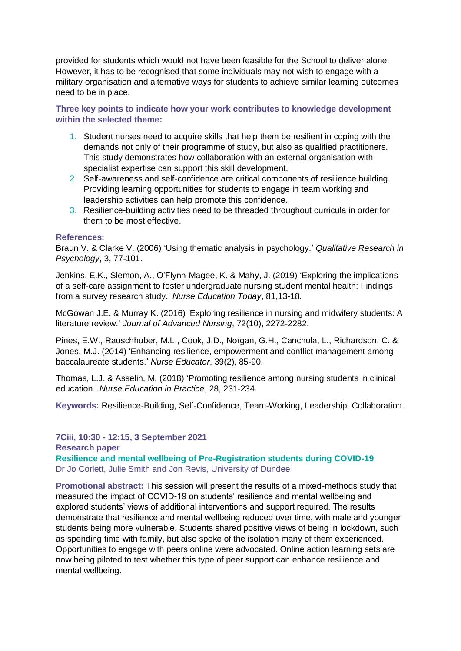provided for students which would not have been feasible for the School to deliver alone. However, it has to be recognised that some individuals may not wish to engage with a military organisation and alternative ways for students to achieve similar learning outcomes need to be in place.

**Three key points to indicate how your work contributes to knowledge development within the selected theme:**

- 1. Student nurses need to acquire skills that help them be resilient in coping with the demands not only of their programme of study, but also as qualified practitioners. This study demonstrates how collaboration with an external organisation with specialist expertise can support this skill development.
- 2. Self-awareness and self-confidence are critical components of resilience building. Providing learning opportunities for students to engage in team working and leadership activities can help promote this confidence.
- 3. Resilience-building activities need to be threaded throughout curricula in order for them to be most effective.

#### **References:**

Braun V. & Clarke V. (2006) 'Using thematic analysis in psychology.' *Qualitative Research in Psychology*, 3, 77-101.

Jenkins, E.K., Slemon, A., O'Flynn-Magee, K. & Mahy, J. (2019) 'Exploring the implications of a self-care assignment to foster undergraduate nursing student mental health: Findings from a survey research study.' *Nurse Education Today*, 81,13-18.

McGowan J.E. & Murray K. (2016) 'Exploring resilience in nursing and midwifery students: A literature review.' *Journal of Advanced Nursing*, 72(10), 2272-2282.

Pines, E.W., Rauschhuber, M.L., Cook, J.D., Norgan, G.H., Canchola, L., Richardson, C. & Jones, M.J. (2014) 'Enhancing resilience, empowerment and conflict management among baccalaureate students.' *Nurse Educator*, 39(2), 85-90.

Thomas, L.J. & Asselin, M. (2018) 'Promoting resilience among nursing students in clinical education.' *Nurse Education in Practice*, 28, 231-234.

**Keywords:** Resilience-Building, Self-Confidence, Team-Working, Leadership, Collaboration.

**7Ciii, 10:30 - 12:15, 3 September 2021 Research paper Resilience and mental wellbeing of Pre-Registration students during COVID-19** Dr Jo Corlett, Julie Smith and Jon Revis, University of Dundee

**Promotional abstract:** This session will present the results of a mixed-methods study that measured the impact of COVID-19 on students' resilience and mental wellbeing and explored students' views of additional interventions and support required. The results demonstrate that resilience and mental wellbeing reduced over time, with male and younger students being more vulnerable. Students shared positive views of being in lockdown, such as spending time with family, but also spoke of the isolation many of them experienced. Opportunities to engage with peers online were advocated. Online action learning sets are now being piloted to test whether this type of peer support can enhance resilience and mental wellbeing.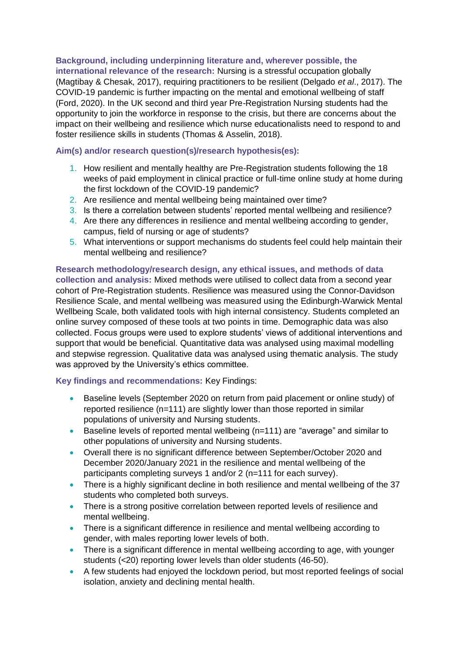**Background, including underpinning literature and, wherever possible, the** 

**international relevance of the research:** Nursing is a stressful occupation globally (Magtibay & Chesak, 2017), requiring practitioners to be resilient (Delgado *et al*., 2017). The COVID-19 pandemic is further impacting on the mental and emotional wellbeing of staff (Ford, 2020). In the UK second and third year Pre-Registration Nursing students had the opportunity to join the workforce in response to the crisis, but there are concerns about the impact on their wellbeing and resilience which nurse educationalists need to respond to and foster resilience skills in students (Thomas & Asselin, 2018).

#### **Aim(s) and/or research question(s)/research hypothesis(es):**

- 1. How resilient and mentally healthy are Pre-Registration students following the 18 weeks of paid employment in clinical practice or full-time online study at home during the first lockdown of the COVID-19 pandemic?
- 2. Are resilience and mental wellbeing being maintained over time?
- 3. Is there a correlation between students' reported mental wellbeing and resilience?
- 4. Are there any differences in resilience and mental wellbeing according to gender, campus, field of nursing or age of students?
- 5. What interventions or support mechanisms do students feel could help maintain their mental wellbeing and resilience?

**Research methodology/research design, any ethical issues, and methods of data collection and analysis:** Mixed methods were utilised to collect data from a second year cohort of Pre-Registration students. Resilience was measured using the Connor-Davidson Resilience Scale, and mental wellbeing was measured using the Edinburgh-Warwick Mental Wellbeing Scale, both validated tools with high internal consistency. Students completed an online survey composed of these tools at two points in time. Demographic data was also collected. Focus groups were used to explore students' views of additional interventions and support that would be beneficial. Quantitative data was analysed using maximal modelling and stepwise regression. Qualitative data was analysed using thematic analysis. The study was approved by the University's ethics committee.

#### **Key findings and recommendations:** Key Findings:

- Baseline levels (September 2020 on return from paid placement or online study) of reported resilience (n=111) are slightly lower than those reported in similar populations of university and Nursing students.
- Baseline levels of reported mental wellbeing (n=111) are "average" and similar to other populations of university and Nursing students.
- Overall there is no significant difference between September/October 2020 and December 2020/January 2021 in the resilience and mental wellbeing of the participants completing surveys 1 and/or 2 (n=111 for each survey).
- There is a highly significant decline in both resilience and mental wellbeing of the 37 students who completed both surveys.
- There is a strong positive correlation between reported levels of resilience and mental wellbeing.
- There is a significant difference in resilience and mental wellbeing according to gender, with males reporting lower levels of both.
- There is a significant difference in mental wellbeing according to age, with younger students (<20) reporting lower levels than older students (46-50).
- A few students had enjoyed the lockdown period, but most reported feelings of social isolation, anxiety and declining mental health.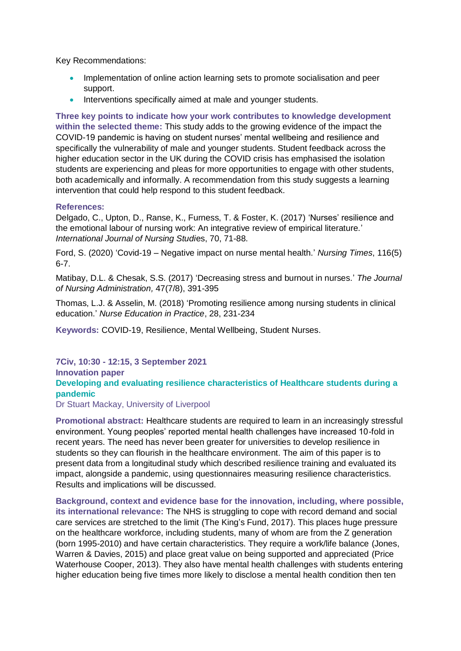Key Recommendations:

- Implementation of online action learning sets to promote socialisation and peer support.
- Interventions specifically aimed at male and younger students.

**Three key points to indicate how your work contributes to knowledge development within the selected theme:** This study adds to the growing evidence of the impact the COVID-19 pandemic is having on student nurses' mental wellbeing and resilience and specifically the vulnerability of male and younger students. Student feedback across the higher education sector in the UK during the COVID crisis has emphasised the isolation students are experiencing and pleas for more opportunities to engage with other students, both academically and informally. A recommendation from this study suggests a learning intervention that could help respond to this student feedback.

#### **References:**

Delgado, C., Upton, D., Ranse, K., Furness, T. & Foster, K. (2017) 'Nurses' resilience and the emotional labour of nursing work: An integrative review of empirical literature.' *International Journal of Nursing Studi*es, 70, 71-88.

Ford, S. (2020) 'Covid-19 – Negative impact on nurse mental health.' *Nursing Times*, 116(5) 6-7.

Matibay, D.L. & Chesak, S.S. (2017) 'Decreasing stress and burnout in nurses.' *The Journal of Nursing Administration,* 47(7/8), 391-395

Thomas, L.J. & Asselin, M. (2018) 'Promoting resilience among nursing students in clinical education.' *Nurse Education in Practice*, 28, 231-234

**Keywords:** COVID-19, Resilience, Mental Wellbeing, Student Nurses.

#### **7Civ, 10:30 - 12:15, 3 September 2021**

#### **Innovation paper**

#### **Developing and evaluating resilience characteristics of Healthcare students during a pandemic**

Dr Stuart Mackay, University of Liverpool

**Promotional abstract:** Healthcare students are required to learn in an increasingly stressful environment. Young peoples' reported mental health challenges have increased 10-fold in recent years. The need has never been greater for universities to develop resilience in students so they can flourish in the healthcare environment. The aim of this paper is to present data from a longitudinal study which described resilience training and evaluated its impact, alongside a pandemic, using questionnaires measuring resilience characteristics. Results and implications will be discussed.

**Background, context and evidence base for the innovation, including, where possible, its international relevance:** The NHS is struggling to cope with record demand and social care services are stretched to the limit (The King's Fund, 2017). This places huge pressure on the healthcare workforce, including students, many of whom are from the Z generation (born 1995-2010) and have certain characteristics. They require a work/life balance (Jones, Warren & Davies, 2015) and place great value on being supported and appreciated (Price Waterhouse Cooper, 2013). They also have mental health challenges with students entering higher education being five times more likely to disclose a mental health condition then ten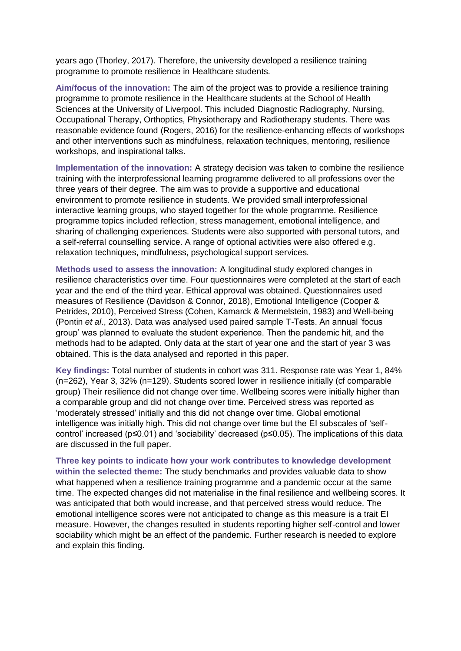years ago (Thorley, 2017). Therefore, the university developed a resilience training programme to promote resilience in Healthcare students.

**Aim/focus of the innovation:** The aim of the project was to provide a resilience training programme to promote resilience in the Healthcare students at the School of Health Sciences at the University of Liverpool. This included Diagnostic Radiography, Nursing, Occupational Therapy, Orthoptics, Physiotherapy and Radiotherapy students. There was reasonable evidence found (Rogers, 2016) for the resilience-enhancing effects of workshops and other interventions such as mindfulness, relaxation techniques, mentoring, resilience workshops, and inspirational talks.

**Implementation of the innovation:** A strategy decision was taken to combine the resilience training with the interprofessional learning programme delivered to all professions over the three years of their degree. The aim was to provide a supportive and educational environment to promote resilience in students. We provided small interprofessional interactive learning groups, who stayed together for the whole programme. Resilience programme topics included reflection, stress management, emotional intelligence, and sharing of challenging experiences. Students were also supported with personal tutors, and a self-referral counselling service. A range of optional activities were also offered e.g. relaxation techniques, mindfulness, psychological support services.

**Methods used to assess the innovation:** A longitudinal study explored changes in resilience characteristics over time. Four questionnaires were completed at the start of each year and the end of the third year. Ethical approval was obtained. Questionnaires used measures of Resilience (Davidson & Connor, 2018), Emotional Intelligence (Cooper & Petrides, 2010), Perceived Stress (Cohen, Kamarck & Mermelstein, 1983) and Well-being (Pontin *et al*., 2013). Data was analysed used paired sample T-Tests. An annual 'focus group' was planned to evaluate the student experience. Then the pandemic hit, and the methods had to be adapted. Only data at the start of year one and the start of year 3 was obtained. This is the data analysed and reported in this paper.

**Key findings:** Total number of students in cohort was 311. Response rate was Year 1, 84% (n=262), Year 3, 32% (n=129). Students scored lower in resilience initially (cf comparable group) Their resilience did not change over time. Wellbeing scores were initially higher than a comparable group and did not change over time. Perceived stress was reported as 'moderately stressed' initially and this did not change over time. Global emotional intelligence was initially high. This did not change over time but the EI subscales of 'selfcontrol' increased (p≤0.01) and 'sociability' decreased (p≤0.05). The implications of this data are discussed in the full paper.

**Three key points to indicate how your work contributes to knowledge development within the selected theme:** The study benchmarks and provides valuable data to show what happened when a resilience training programme and a pandemic occur at the same time. The expected changes did not materialise in the final resilience and wellbeing scores. It was anticipated that both would increase, and that perceived stress would reduce. The emotional intelligence scores were not anticipated to change as this measure is a trait EI measure. However, the changes resulted in students reporting higher self-control and lower sociability which might be an effect of the pandemic. Further research is needed to explore and explain this finding.